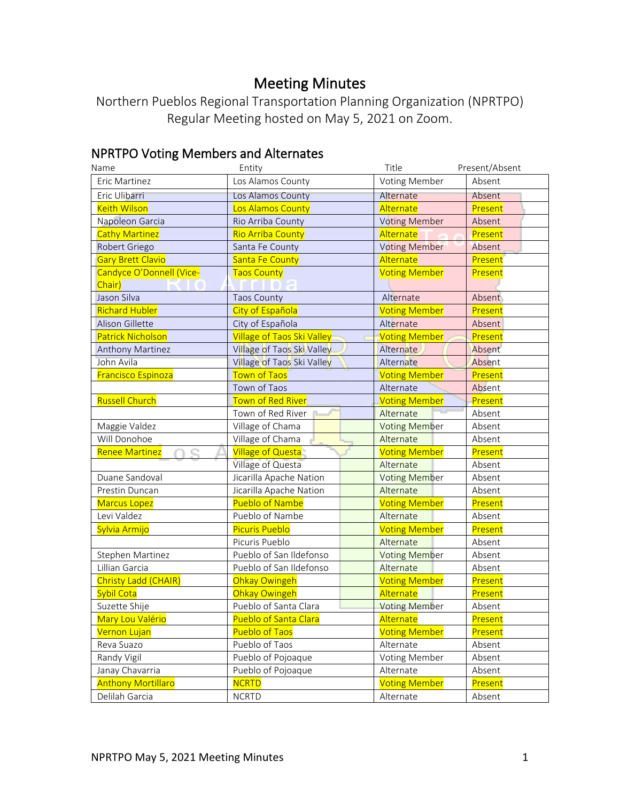# Meeting Minutes

Northern Pueblos Regional Transportation Planning Organization (NPRTPO) Regular Meeting hosted on May 5, 2021 on Zoom.

# NPRTPO Voting Members and Alternates

| Name                      | Entity                       | Title                | Present/Absent |
|---------------------------|------------------------------|----------------------|----------------|
| <b>Eric Martinez</b>      | Los Alamos County            | Voting Member        | Absent         |
| Eric Ulibarri             | Los Alamos County            | Alternate            | Absent         |
| <b>Keith Wilson</b>       | Los Alamos County            | Alternate            | Present        |
| Napoleon Garcia           | Rio Arriba County            | <b>Voting Member</b> | Absent         |
| <b>Cathy Martinez</b>     | <b>Rio Arriba County</b>     | Alternate            | Present        |
| Robert Griego             | Santa Fe County              | <b>Voting Member</b> | Absent         |
| <b>Gary Brett Clavio</b>  | <b>Santa Fe County</b>       | Alternate            | Present        |
| Candyce O'Donnell (Vice-  | <b>Taos County</b>           | <b>Voting Member</b> | Present        |
| Chair)                    |                              |                      |                |
| Jason Silva               | <b>Taos County</b>           | Alternate            | Absent         |
| <b>Richard Hubler</b>     | City of Española             | <b>Voting Member</b> | Present        |
| Alison Gillette           | City of Española             | Alternate            | Absent         |
| <b>Patrick Nicholson</b>  | Village of Taos Ski Valley   | <b>Voting Member</b> | Present        |
| <b>Anthony Martinez</b>   | Village of Taos Ski Valley   | Alternate            | Absent         |
| John Avila                | Village of Taos Ski Valley   | Alternate            | Absent         |
| <b>Francisco Espinoza</b> | <b>Town of Taos</b>          | <b>Voting Member</b> | Present        |
|                           | Town of Taos                 | Alternate            | Absent         |
| <b>Russell Church</b>     | Town of Red River            | <b>Voting Member</b> | Present        |
|                           | Town of Red River            | Alternate            | Absent         |
| Maggie Valdez             | Village of Chama             | <b>Voting Member</b> | Absent         |
| Will Donohoe              | Village of Chama             | Alternate            | Absent         |
| <b>Renee Martinez</b>     | <b>Village of Questa</b>     | <b>Voting Member</b> | Present        |
|                           | Village of Questa            | Alternate            | Absent         |
| Duane Sandoval            | Jicarilla Apache Nation      | <b>Voting Member</b> | Absent         |
| Prestin Duncan            | Jicarilla Apache Nation      | Alternate            | Absent         |
| <b>Marcus Lopez</b>       | <b>Pueblo of Nambe</b>       | <b>Voting Member</b> | Present        |
| Levi Valdez               | Pueblo of Nambe              | Alternate            | Absent         |
| Sylvia Armijo             | <b>Picuris Pueblo</b>        | <b>Voting Member</b> | Present        |
|                           | Picuris Pueblo               | Alternate            | Absent         |
| Stephen Martinez          | Pueblo of San Ildefonso      | <b>Voting Member</b> | Absent         |
| Lillian Garcia            | Pueblo of San Ildefonso      | Alternate            | Absent         |
| Christy Ladd (CHAIR)      | Ohkay Owingeh                | <b>Voting Member</b> | Present        |
| Sybil Cota                | Ohkay Owingeh                | Alternate            | Present        |
| Suzette Shije             | Pueblo of Santa Clara        | <b>Voting Member</b> | Absent         |
| Mary Lou Valério          | <b>Pueblo of Santa Clara</b> | Alternate            | Present        |
| Vernon Lujan              | <b>Pueblo of Taos</b>        | <b>Voting Member</b> | Present        |
| Reva Suazo                | Pueblo of Taos               | Alternate            | Absent         |
| Randy Vigil               | Pueblo of Pojoaque           | Voting Member        | Absent         |
| Janay Chavarria           | Pueblo of Pojoaque           | Alternate            | Absent         |
| <b>Anthony Mortillaro</b> | <b>NCRTD</b>                 | <b>Voting Member</b> | Present        |
| Delilah Garcia            | <b>NCRTD</b>                 | Alternate            | Absent         |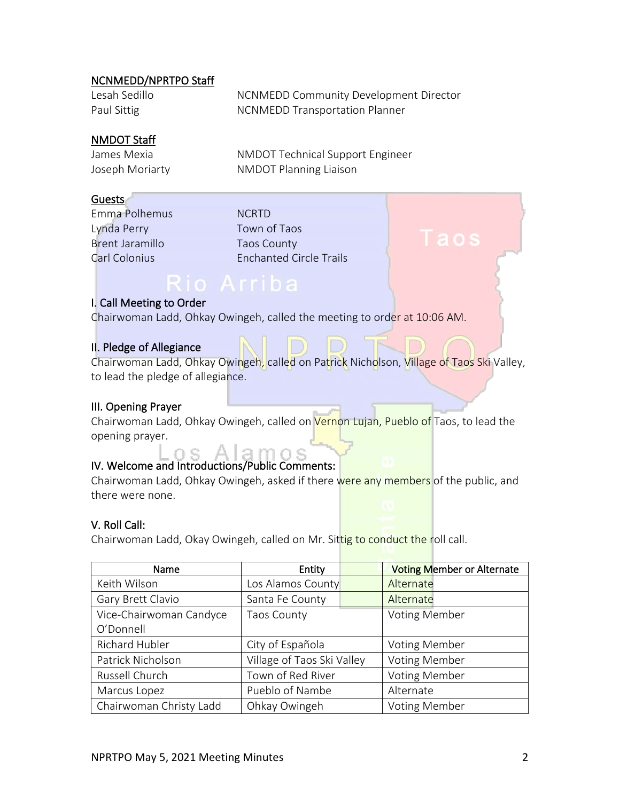## NCNMEDD/NPRTPO Staff

| Lesah Sedillo | NCNMEDD Community Development Director |
|---------------|----------------------------------------|
| Paul Sittig   | <b>NCNMEDD Transportation Planner</b>  |

## NMDOT Staff

James Mexia NMDOT Technical Support Engineer Joseph Moriarty **NMDOT** Planning Liaison

# Guests

Emma Polhemus NCRTD Lynda Perry Town of Taos Brent Jaramillo Taos County

Carl Colonius Enchanted Circle Trails

### I. Call Meeting to Order

Chairwoman Ladd, Ohkay Owingeh, called the meeting to order at 10:06 AM.

# II. Pledge of Allegiance

Chairwoman Ladd, Ohkay Owingeh, called on Patrick Nicholson, Village of Taos Ski Valley, to lead the pledge of allegiance.

## III. Opening Prayer

Chairwoman Ladd, Ohkay Owingeh, called on Vernon Lujan, Pueblo of Taos, to lead the opening prayer.

# IV. Welcome and Introductions/Public Comments:

Chairwoman Ladd, Ohkay Owingeh, asked if there were any members of the public, and there were none.

# V. Roll Call:

Chairwoman Ladd, Okay Owingeh, called on Mr. Sittig to conduct the roll call.

| Name                    | Entity                     | <b>Voting Member or Alternate</b> |
|-------------------------|----------------------------|-----------------------------------|
| Keith Wilson            | Los Alamos County          | Alternate                         |
| Gary Brett Clavio       | Santa Fe County            | Alternate                         |
| Vice-Chairwoman Candyce | <b>Taos County</b>         | <b>Voting Member</b>              |
| O'Donnell               |                            |                                   |
| Richard Hubler          | City of Española           | <b>Voting Member</b>              |
| Patrick Nicholson       | Village of Taos Ski Valley | <b>Voting Member</b>              |
| Russell Church          | Town of Red River          | <b>Voting Member</b>              |
| Marcus Lopez            | Pueblo of Nambe            | Alternate                         |
| Chairwoman Christy Ladd | Ohkay Owingeh              | <b>Voting Member</b>              |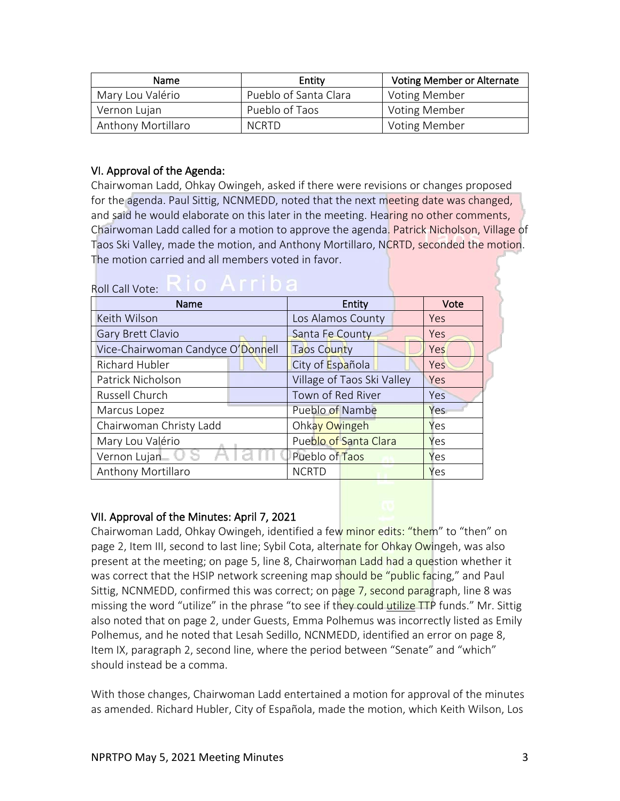| <b>Name</b>        | Entity                | <b>Voting Member or Alternate</b> |
|--------------------|-----------------------|-----------------------------------|
| Mary Lou Valério   | Pueblo of Santa Clara | Voting Member                     |
| Vernon Lujan       | Pueblo of Taos        | <b>Voting Member</b>              |
| Anthony Mortillaro | <b>NCRTD</b>          | Voting Member                     |

# VI. Approval of the Agenda:

Chairwoman Ladd, Ohkay Owingeh, asked if there were revisions or changes proposed for the agenda. Paul Sittig, NCNMEDD, noted that the next meeting date was changed, and said he would elaborate on this later in the meeting. Hearing no other comments, Chairwoman Ladd called for a motion to approve the agenda. Patrick Nicholson, Village of Taos Ski Valley, made the motion, and Anthony Mortillaro, NCRTD, seconded the motion. The motion carried and all members voted in favor.

# Roll Call Vote: **KIOLA FILIA**

| <b>INUIL CAIL VULL.</b>           |                            |            |
|-----------------------------------|----------------------------|------------|
| Name                              | Entity                     | Vote       |
| Keith Wilson                      | Los Alamos County          | Yes        |
| <b>Gary Brett Clavio</b>          | Santa Fe County            | <b>Yes</b> |
| Vice-Chairwoman Candyce O'Donnell | <b>Taos County</b>         | Yes        |
| Richard Hubler                    | City of Española           | Yes        |
| Patrick Nicholson                 | Village of Taos Ski Valley | Yes        |
| Russell Church                    | Town of Red River          | Yes        |
| Marcus Lopez                      | Pueblo of Nambe            | Yes        |
| Chairwoman Christy Ladd           | Ohkay Owingeh              | Yes        |
| Mary Lou Valério                  | Pueblo of Santa Clara      | Yes        |
| Vernon Lujan                      | Pueblo of Taos             | Yes        |
| Anthony Mortillaro                | <b>NCRTD</b>               | Yes        |

# VII. Approval of the Minutes: April 7, 2021

Chairwoman Ladd, Ohkay Owingeh, identified a few minor edits: "them" to "then" on page 2, Item III, second to last line; Sybil Cota, alternate for Ohkay Owingeh, was also present at the meeting; on page 5, line 8, Chairwoman Ladd had a question whether it was correct that the HSIP network screening map should be "public facing," and Paul Sittig, NCNMEDD, confirmed this was correct; on page 7, second paragraph, line 8 was missing the word "utilize" in the phrase "to see if they could utilize TTP funds." Mr. Sittig also noted that on page 2, under Guests, Emma Polhemus was incorrectly listed as Emily Polhemus, and he noted that Lesah Sedillo, NCNMEDD, identified an error on page 8, Item IX, paragraph 2, second line, where the period between "Senate" and "which" should instead be a comma.

With those changes, Chairwoman Ladd entertained a motion for approval of the minutes as amended. Richard Hubler, City of Española, made the motion, which Keith Wilson, Los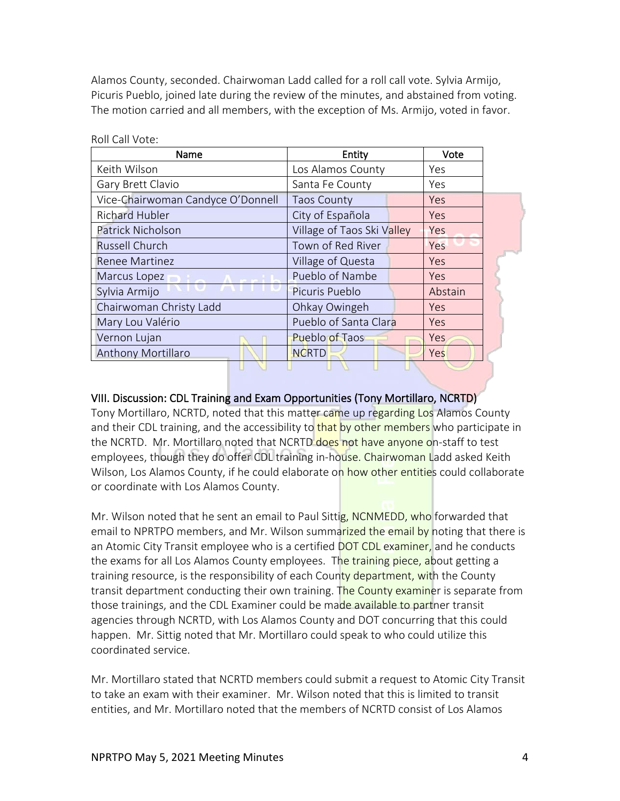Alamos County, seconded. Chairwoman Ladd called for a roll call vote. Sylvia Armijo, Picuris Pueblo, joined late during the review of the minutes, and abstained from voting. The motion carried and all members, with the exception of Ms. Armijo, voted in favor.

| Name                              | Entity                     | Vote       |
|-----------------------------------|----------------------------|------------|
| Keith Wilson                      | Los Alamos County          | Yes        |
| Gary Brett Clavio                 | Santa Fe County            | Yes        |
| Vice-Chairwoman Candyce O'Donnell | <b>Taos County</b>         | <b>Yes</b> |
| <b>Richard Hubler</b>             | City of Española           | Yes        |
| <b>Patrick Nicholson</b>          | Village of Taos Ski Valley | Yes        |
| <b>Russell Church</b>             | Town of Red River          | Yes        |
| <b>Renee Martinez</b>             | Village of Questa          | Yes        |
| Marcus Lopez                      | Pueblo of Nambe            | <b>Yes</b> |
| Sylvia Armijo                     | Picuris Pueblo             | Abstain    |
| Chairwoman Christy Ladd           | Ohkay Owingeh              | Yes        |
| Mary Lou Valério                  | Pueblo of Santa Clara      | Yes        |
| Vernon Lujan                      | <b>Pueblo of Taos</b>      | Yes        |
| <b>Anthony Mortillaro</b>         | <b>NCRTD</b>               | Yes        |
|                                   |                            |            |

Roll Call Vote:

### VIII. Discussion: CDL Training and Exam Opportunities (Tony Mortillaro, NCRTD)

Tony Mortillaro, NCRTD, noted that this matter came up regarding Los Alamos County and their CDL training, and the accessibility to that by other members who participate in the NCRTD. Mr. Mortillaro noted that NCRTD does not have anyone on-staff to test employees, though they do offer CDL training in-house. Chairwoman Ladd asked Keith Wilson, Los Alamos County, if he could elaborate on how other entities could collaborate or coordinate with Los Alamos County.

Mr. Wilson noted that he sent an email to Paul Sittig, NCNMEDD, who forwarded that email to NPRTPO members, and Mr. Wilson summarized the email by noting that there is an Atomic City Transit employee who is a certified DOT CDL examiner, and he conducts the exams for all Los Alamos County employees. The training piece, about getting a training resource, is the responsibility of each County department, with the County transit department conducting their own training. The County examiner is separate from those trainings, and the CDL Examiner could be made available to partner transit agencies through NCRTD, with Los Alamos County and DOT concurring that this could happen. Mr. Sittig noted that Mr. Mortillaro could speak to who could utilize this coordinated service.

Mr. Mortillaro stated that NCRTD members could submit a request to Atomic City Transit to take an exam with their examiner. Mr. Wilson noted that this is limited to transit entities, and Mr. Mortillaro noted that the members of NCRTD consist of Los Alamos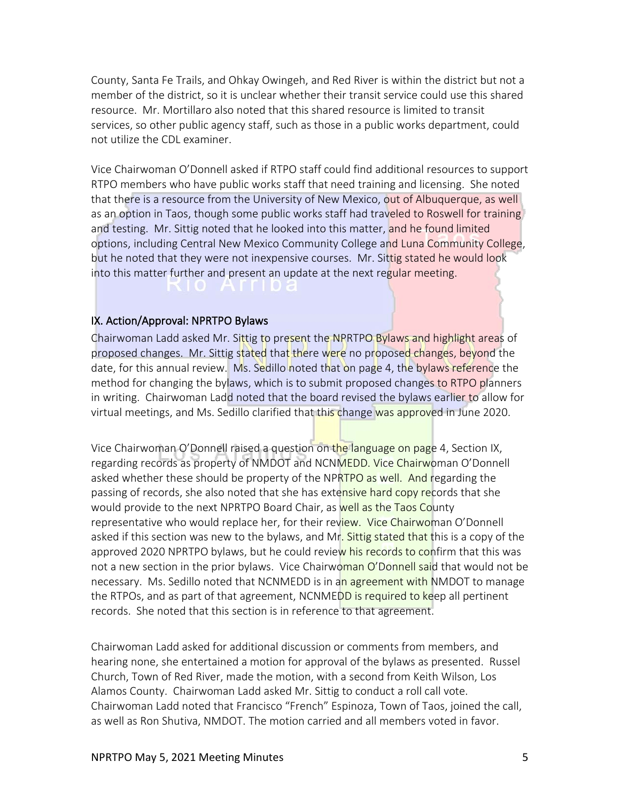County, Santa Fe Trails, and Ohkay Owingeh, and Red River is within the district but not a member of the district, so it is unclear whether their transit service could use this shared resource. Mr. Mortillaro also noted that this shared resource is limited to transit services, so other public agency staff, such as those in a public works department, could not utilize the CDL examiner.

Vice Chairwoman O'Donnell asked if RTPO staff could find additional resources to support RTPO members who have public works staff that need training and licensing. She noted that there is a resource from the University of New Mexico, out of Albuquerque, as well as an option in Taos, though some public works staff had traveled to Roswell for training and testing. Mr. Sittig noted that he looked into this matter, and he found limited options, including Central New Mexico Community College and Luna Community College, but he noted that they were not inexpensive courses. Mr. Sittig stated he would look into this matter further and present an update at the next regular meeting.

#### IX. Action/Approval: NPRTPO Bylaws

Chairwoman Ladd asked Mr. Sittig to present the NPRTPO Bylaws and highlight areas of proposed changes. Mr. Sittig stated that there were no proposed changes, beyond the date, for this annual review. Ms. Sedillo noted that on page 4, the bylaws reference the method for changing the bylaws, which is to submit proposed changes to RTPO planners in writing. Chairwoman Ladd noted that the board revised the bylaws earlier to allow for virtual meetings, and Ms. Sedillo clarified that this change was approved in June 2020.

Vice Chairwoman O'Donnell raised a question on the language on page 4, Section IX, regarding records as property of NMDOT and NCNMEDD. Vice Chairwoman O'Donnell asked whether these should be property of the NPRTPO as well. And regarding the passing of records, she also noted that she has extensive hard copy records that she would provide to the next NPRTPO Board Chair, as well as the Taos County representative who would replace her, for their review. Vice Chairwoman O'Donnell asked if this section was new to the bylaws, and Mr. Sittig stated that this is a copy of the approved 2020 NPRTPO bylaws, but he could review his records to confirm that this was not a new section in the prior bylaws. Vice Chairwoman O'Donnell said that would not be necessary. Ms. Sedillo noted that NCNMEDD is in an agreement with NMDOT to manage the RTPOs, and as part of that agreement, NCNMEDD is required to keep all pertinent records. She noted that this section is in reference to that agreement.

Chairwoman Ladd asked for additional discussion or comments from members, and hearing none, she entertained a motion for approval of the bylaws as presented. Russel Church, Town of Red River, made the motion, with a second from Keith Wilson, Los Alamos County. Chairwoman Ladd asked Mr. Sittig to conduct a roll call vote. Chairwoman Ladd noted that Francisco "French" Espinoza, Town of Taos, joined the call, as well as Ron Shutiva, NMDOT. The motion carried and all members voted in favor.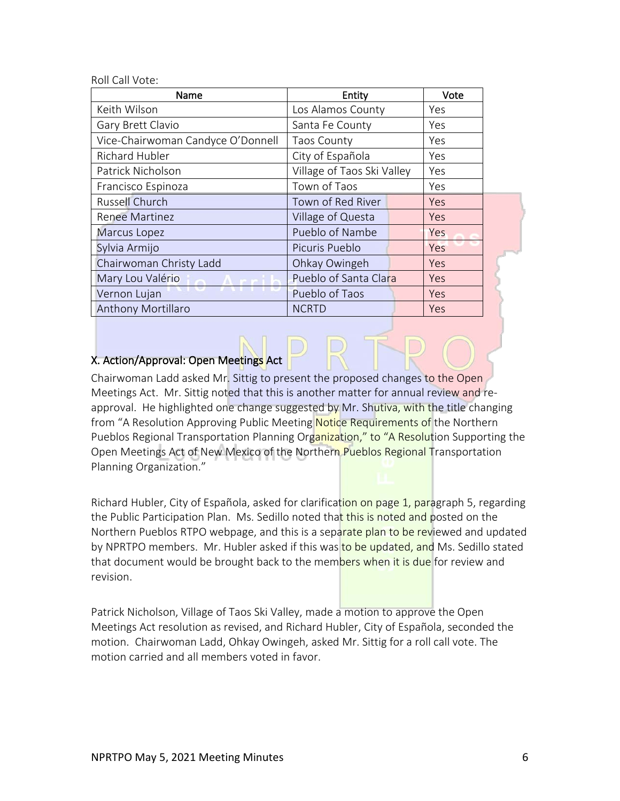Roll Call Vote:

| Name                              | Entity                     | Vote |  |
|-----------------------------------|----------------------------|------|--|
| Keith Wilson                      | Los Alamos County          | Yes  |  |
| Gary Brett Clavio                 | Santa Fe County            | Yes  |  |
| Vice-Chairwoman Candyce O'Donnell | <b>Taos County</b>         | Yes  |  |
| Richard Hubler                    | City of Española           | Yes  |  |
| Patrick Nicholson                 | Village of Taos Ski Valley | Yes  |  |
| Francisco Espinoza                | Town of Taos               | Yes  |  |
| <b>Russell Church</b>             | Town of Red River          | Yes  |  |
| <b>Renee Martinez</b>             | Village of Questa          | Yes  |  |
| Marcus Lopez                      | Pueblo of Nambe            | Yes  |  |
| Sylvia Armijo                     | Picuris Pueblo             | Yes  |  |
| Chairwoman Christy Ladd           | Ohkay Owingeh              | Yes  |  |
| Mary Lou Valério                  | Pueblo of Santa Clara      | Yes  |  |
| Vernon Lujan                      | Pueblo of Taos             | Yes  |  |
| <b>Anthony Mortillaro</b>         | <b>NCRTD</b>               | Yes  |  |

# X. Action/Approval: Open Meetings Act

Chairwoman Ladd asked Mr. Sittig to present the proposed changes to the Open Meetings Act. Mr. Sittig noted that this is another matter for annual review and reapproval. He highlighted one change suggested by Mr. Shutiva, with the title changing from "A Resolution Approving Public Meeting Notice Requirements of the Northern Pueblos Regional Transportation Planning Organization," to "A Resolution Supporting the Open Meetings Act of New Mexico of the Northern Pueblos Regional Transportation Planning Organization."

Richard Hubler, City of Española, asked for clarification on page 1, paragraph 5, regarding the Public Participation Plan. Ms. Sedillo noted that this is noted and posted on the Northern Pueblos RTPO webpage, and this is a separate plan to be reviewed and updated by NPRTPO members. Mr. Hubler asked if this was to be updated, and Ms. Sedillo stated that document would be brought back to the members when it is due for review and revision.

Patrick Nicholson, Village of Taos Ski Valley, made a motion to approve the Open Meetings Act resolution as revised, and Richard Hubler, City of Española, seconded the motion. Chairwoman Ladd, Ohkay Owingeh, asked Mr. Sittig for a roll call vote. The motion carried and all members voted in favor.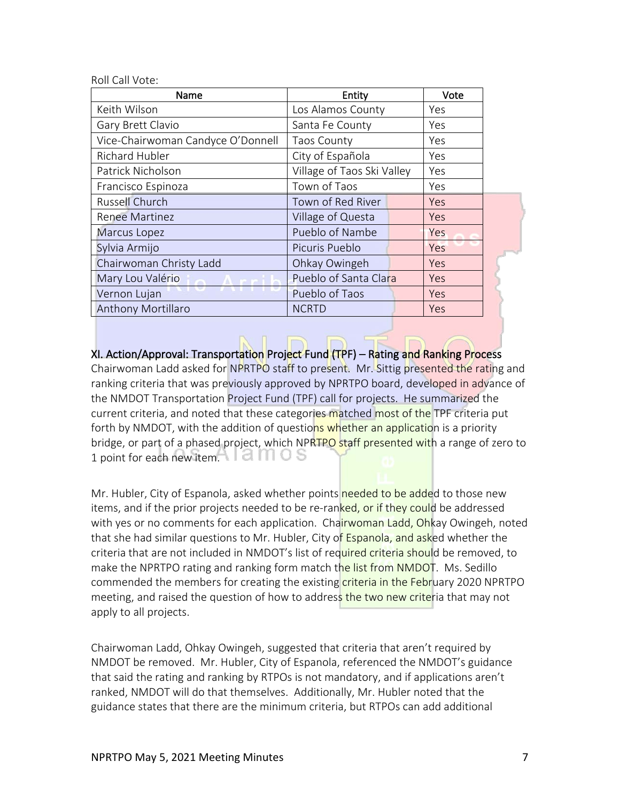Roll Call Vote:

| Name                              | Entity                     | Vote |  |
|-----------------------------------|----------------------------|------|--|
| Keith Wilson                      | Los Alamos County          | Yes  |  |
| Gary Brett Clavio                 | Santa Fe County            | Yes  |  |
| Vice-Chairwoman Candyce O'Donnell | Taos County                | Yes  |  |
| Richard Hubler                    | City of Española           | Yes  |  |
| Patrick Nicholson                 | Village of Taos Ski Valley | Yes  |  |
| Francisco Espinoza                | Town of Taos               | Yes  |  |
| Russell Church                    | Town of Red River          | Yes  |  |
| <b>Renee Martinez</b>             | Village of Questa          | Yes  |  |
| Marcus Lopez                      | Pueblo of Nambe            | Yes  |  |
| Sylvia Armijo                     | Picuris Pueblo             | Yes  |  |
| Chairwoman Christy Ladd           | Ohkay Owingeh              | Yes  |  |
| Mary Lou Valério                  | Pueblo of Santa Clara      | Yes  |  |
| Vernon Lujan                      | Pueblo of Taos             | Yes  |  |
| <b>Anthony Mortillaro</b>         | <b>NCRTD</b>               | Yes  |  |

XI. Action/Approval: Transportation Project Fund (TPF) – Rating and Ranking Process Chairwoman Ladd asked for NPRTPO staff to present. Mr. Sittig presented the rating and ranking criteria that was previously approved by NPRTPO board, developed in advance of the NMDOT Transportation Project Fund (TPF) call for projects. He summarized the current criteria, and noted that these categories matched most of the TPF criteria put forth by NMDOT, with the addition of questions whether an application is a priority bridge, or part of a phased project, which NPRTPO staff presented with a range of zero to 1 point for each new item $\bigcap$  i diffiles

Mr. Hubler, City of Espanola, asked whether points needed to be added to those new items, and if the prior projects needed to be re-ranked, or if they could be addressed with yes or no comments for each application. Chairwoman Ladd, Ohkay Owingeh, noted that she had similar questions to Mr. Hubler, City of Espanola, and asked whether the criteria that are not included in NMDOT's list of required criteria should be removed, to make the NPRTPO rating and ranking form match the list from NMDOT. Ms. Sedillo commended the members for creating the existing criteria in the February 2020 NPRTPO meeting, and raised the question of how to address the two new criteria that may not apply to all projects.

Chairwoman Ladd, Ohkay Owingeh, suggested that criteria that aren't required by NMDOT be removed. Mr. Hubler, City of Espanola, referenced the NMDOT's guidance that said the rating and ranking by RTPOs is not mandatory, and if applications aren't ranked, NMDOT will do that themselves. Additionally, Mr. Hubler noted that the guidance states that there are the minimum criteria, but RTPOs can add additional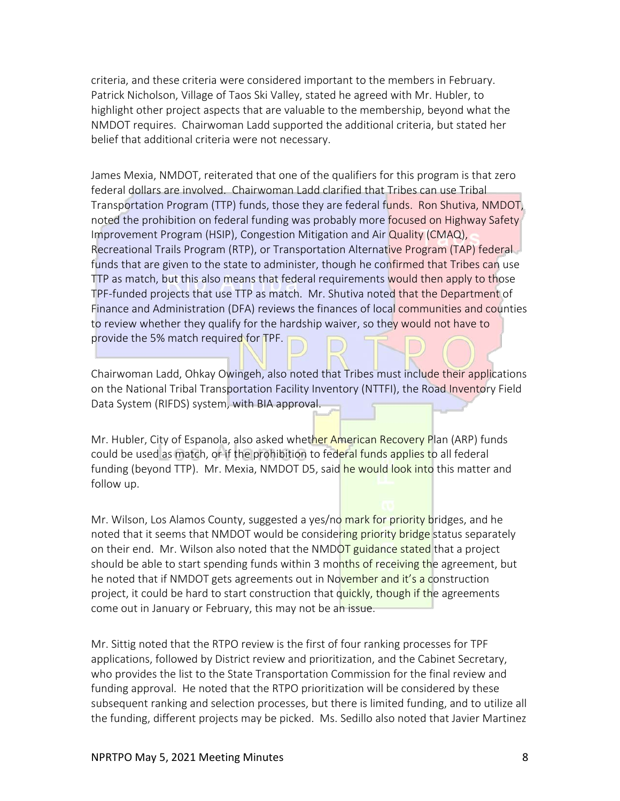criteria, and these criteria were considered important to the members in February. Patrick Nicholson, Village of Taos Ski Valley, stated he agreed with Mr. Hubler, to highlight other project aspects that are valuable to the membership, beyond what the NMDOT requires. Chairwoman Ladd supported the additional criteria, but stated her belief that additional criteria were not necessary.

James Mexia, NMDOT, reiterated that one of the qualifiers for this program is that zero federal dollars are involved. Chairwoman Ladd clarified that Tribes can use Tribal Transportation Program (TTP) funds, those they are federal funds. Ron Shutiva, NMDOT, noted the prohibition on federal funding was probably more focused on Highway Safety Improvement Program (HSIP), Congestion Mitigation and Air Quality (CMAQ), Recreational Trails Program (RTP), or Transportation Alternative Program (TAP) federal funds that are given to the state to administer, though he confirmed that Tribes can use TTP as match, but this also means that federal requirements would then apply to those TPF-funded projects that use TTP as match. Mr. Shutiva noted that the Department of Finance and Administration (DFA) reviews the finances of local communities and counties to review whether they qualify for the hardship waiver, so they would not have to provide the 5% match required for TPF.

Chairwoman Ladd, Ohkay Owingeh, also noted that Tribes must include their applications on the National Tribal Transportation Facility Inventory (NTTFI), the Road Inventory Field Data System (RIFDS) system, with BIA approval.

Mr. Hubler, City of Espanola, also asked whether American Recovery Plan (ARP) funds could be used as match, or if the prohibition to federal funds applies to all federal funding (beyond TTP). Mr. Mexia, NMDOT D5, said he would look into this matter and follow up.

Mr. Wilson, Los Alamos County, suggested a yes/no mark for priority bridges, and he noted that it seems that NMDOT would be considering priority bridge status separately on their end. Mr. Wilson also noted that the NMDOT guidance stated that a project should be able to start spending funds within 3 months of receiving the agreement, but he noted that if NMDOT gets agreements out in November and it's a construction project, it could be hard to start construction that quickly, though if the agreements come out in January or February, this may not be an issue.

Mr. Sittig noted that the RTPO review is the first of four ranking processes for TPF applications, followed by District review and prioritization, and the Cabinet Secretary, who provides the list to the State Transportation Commission for the final review and funding approval. He noted that the RTPO prioritization will be considered by these subsequent ranking and selection processes, but there is limited funding, and to utilize all the funding, different projects may be picked. Ms. Sedillo also noted that Javier Martinez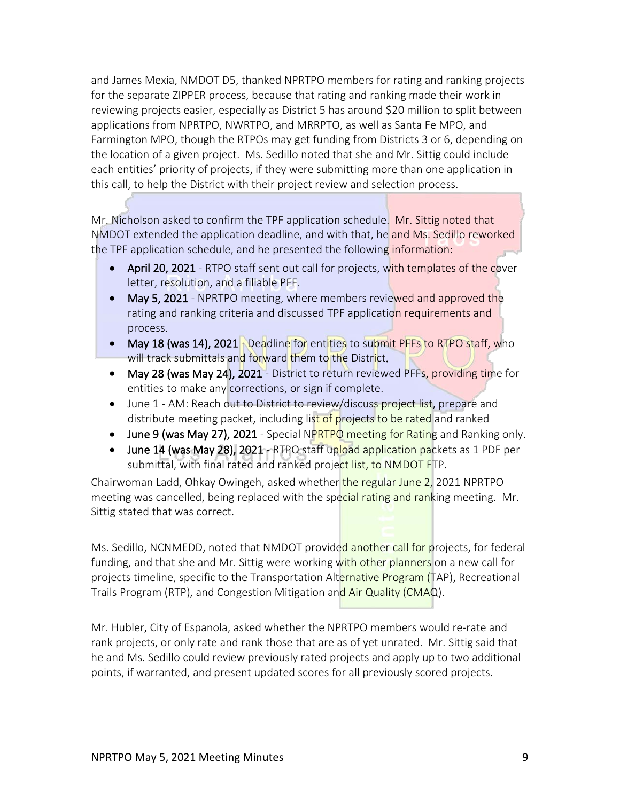and James Mexia, NMDOT D5, thanked NPRTPO members for rating and ranking projects for the separate ZIPPER process, because that rating and ranking made their work in reviewing projects easier, especially as District 5 has around \$20 million to split between applications from NPRTPO, NWRTPO, and MRRPTO, as well as Santa Fe MPO, and Farmington MPO, though the RTPOs may get funding from Districts 3 or 6, depending on the location of a given project. Ms. Sedillo noted that she and Mr. Sittig could include each entities' priority of projects, if they were submitting more than one application in this call, to help the District with their project review and selection process.

Mr. Nicholson asked to confirm the TPF application schedule. Mr. Sittig noted that NMDOT extended the application deadline, and with that, he and Ms. Sedillo reworked the TPF application schedule, and he presented the following information:

- April 20, 2021 RTPO staff sent out call for projects, with templates of the cover letter, resolution, and a fillable PFF.
- May 5, 2021 NPRTPO meeting, where members reviewed and approved the rating and ranking criteria and discussed TPF application requirements and process.
- May 18 (was 14), 2021 Deadline for entities to submit PFFs to RTPO staff, who will track submittals and forward them to the District.
- May 28 (was May 24), 2021 District to return reviewed PFFs, providing time for entities to make any corrections, or sign if complete.
- June 1 AM: Reach out to District to review/discuss project list, prepare and distribute meeting packet, including list of projects to be rated and ranked
- June 9 (was May 27), 2021 Special NPRTPO meeting for Rating and Ranking only.
- June 14 (was May 28), 2021 RTPO staff upload application packets as 1 PDF per submittal, with final rated and ranked project list, to NMDOT FTP.

Chairwoman Ladd, Ohkay Owingeh, asked whether the regular June 2, 2021 NPRTPO meeting was cancelled, being replaced with the special rating and ranking meeting. Mr. Sittig stated that was correct.

Ms. Sedillo, NCNMEDD, noted that NMDOT provided another call for projects, for federal funding, and that she and Mr. Sittig were working with other planners on a new call for projects timeline, specific to the Transportation Alternative Program (TAP), Recreational Trails Program (RTP), and Congestion Mitigation and Air Quality (CMAQ).

Mr. Hubler, City of Espanola, asked whether the NPRTPO members would re-rate and rank projects, or only rate and rank those that are as of yet unrated. Mr. Sittig said that he and Ms. Sedillo could review previously rated projects and apply up to two additional points, if warranted, and present updated scores for all previously scored projects.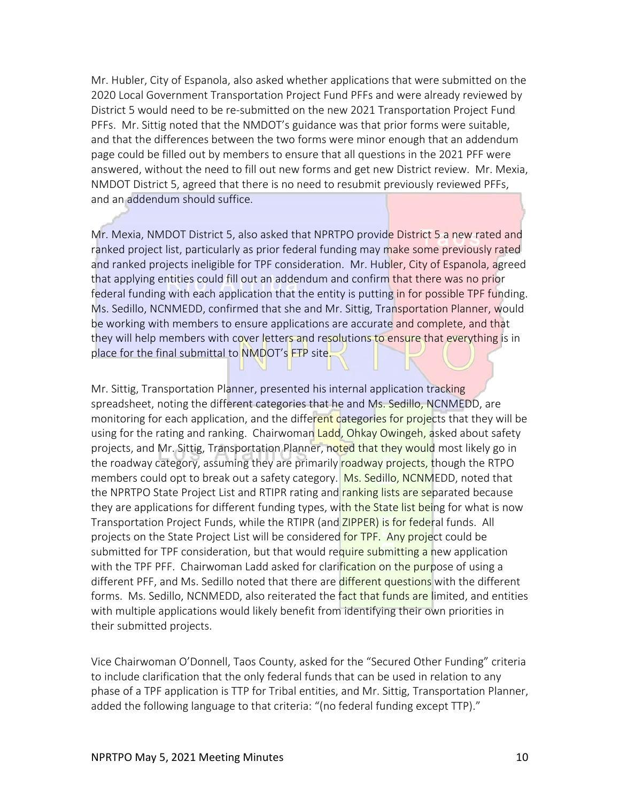Mr. Hubler, City of Espanola, also asked whether applications that were submitted on the 2020 Local Government Transportation Project Fund PFFs and were already reviewed by District 5 would need to be re-submitted on the new 2021 Transportation Project Fund PFFs. Mr. Sittig noted that the NMDOT's guidance was that prior forms were suitable, and that the differences between the two forms were minor enough that an addendum page could be filled out by members to ensure that all questions in the 2021 PFF were answered, without the need to fill out new forms and get new District review. Mr. Mexia, NMDOT District 5, agreed that there is no need to resubmit previously reviewed PFFs, and an addendum should suffice.

Mr. Mexia, NMDOT District 5, also asked that NPRTPO provide District 5 a new rated and ranked project list, particularly as prior federal funding may make some previously rated and ranked projects ineligible for TPF consideration. Mr. Hubler, City of Espanola, agreed that applying entities could fill out an addendum and confirm that there was no prior federal funding with each application that the entity is putting in for possible TPF funding. Ms. Sedillo, NCNMEDD, confirmed that she and Mr. Sittig, Transportation Planner, would be working with members to ensure applications are accurate and complete, and that they will help members with cover letters and resolutions to ensure that everything is in place for the final submittal to NMDOT's FTP site.

Mr. Sittig, Transportation Planner, presented his internal application tracking spreadsheet, noting the different categories that he and Ms. Sedillo, NCNMEDD, are monitoring for each application, and the different categories for projects that they will be using for the rating and ranking. Chairwoman Ladd, Ohkay Owingeh, asked about safety projects, and Mr. Sittig, Transportation Planner, noted that they would most likely go in the roadway category, assuming they are primarily roadway projects, though the RTPO members could opt to break out a safety category. Ms. Sedillo, NCNMEDD, noted that the NPRTPO State Project List and RTIPR rating and ranking lists are separated because they are applications for different funding types, with the State list being for what is now Transportation Project Funds, while the RTIPR (and ZIPPER) is for federal funds. All projects on the State Project List will be considered for TPF. Any project could be submitted for TPF consideration, but that would require submitting a new application with the TPF PFF. Chairwoman Ladd asked for clarification on the purpose of using a different PFF, and Ms. Sedillo noted that there are different questions with the different forms. Ms. Sedillo, NCNMEDD, also reiterated the fact that funds are limited, and entities with multiple applications would likely benefit from identifying their own priorities in their submitted projects.

Vice Chairwoman O'Donnell, Taos County, asked for the "Secured Other Funding" criteria to include clarification that the only federal funds that can be used in relation to any phase of a TPF application is TTP for Tribal entities, and Mr. Sittig, Transportation Planner, added the following language to that criteria: "(no federal funding except TTP)."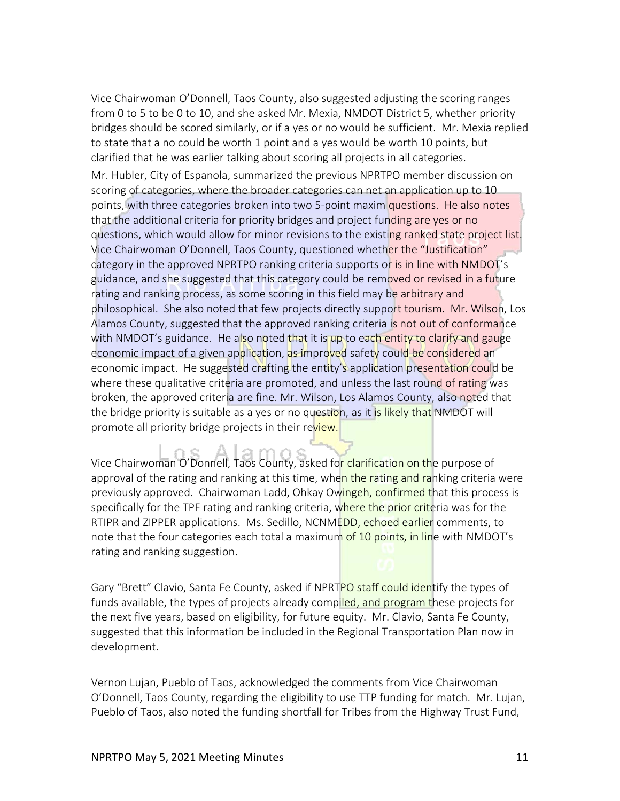Vice Chairwoman O'Donnell, Taos County, also suggested adjusting the scoring ranges from 0 to 5 to be 0 to 10, and she asked Mr. Mexia, NMDOT District 5, whether priority bridges should be scored similarly, or if a yes or no would be sufficient. Mr. Mexia replied to state that a no could be worth 1 point and a yes would be worth 10 points, but clarified that he was earlier talking about scoring all projects in all categories.

Mr. Hubler, City of Espanola, summarized the previous NPRTPO member discussion on scoring of categories, where the broader categories can net an application up to 10 points, with three categories broken into two 5-point maxim questions. He also notes that the additional criteria for priority bridges and project funding are yes or no questions, which would allow for minor revisions to the existing ranked state project list. Vice Chairwoman O'Donnell, Taos County, questioned whether the "Justification" category in the approved NPRTPO ranking criteria supports or is in line with NMDOT's guidance, and she suggested that this category could be removed or revised in a future rating and ranking process, as some scoring in this field may be arbitrary and philosophical. She also noted that few projects directly support tourism. Mr. Wilson, Los Alamos County, suggested that the approved ranking criteria is not out of conformance with NMDOT's guidance. He also noted that it is up to each entity to clarify and gauge economic impact of a given application, as improved safety could be considered an economic impact. He suggested crafting the entity's application presentation could be where these qualitative criteria are promoted, and unless the last round of rating was broken, the approved criteria are fine. Mr. Wilson, Los Alamos County, also noted that the bridge priority is suitable as a yes or no question, as it is likely that NMDOT will promote all priority bridge projects in their review.

Vice Chairwoman O'Donnell, Taos County, asked for clarification on the purpose of approval of the rating and ranking at this time, when the rating and ranking criteria were previously approved. Chairwoman Ladd, Ohkay Owingeh, confirmed that this process is specifically for the TPF rating and ranking criteria, where the prior criteria was for the RTIPR and ZIPPER applications. Ms. Sedillo, NCNMEDD, echoed earlier comments, to note that the four categories each total a maximum of 10 points, in line with NMDOT's rating and ranking suggestion.

Gary "Brett" Clavio, Santa Fe County, asked if NPRTPO staff could identify the types of funds available, the types of projects already compiled, and program these projects for the next five years, based on eligibility, for future equity. Mr. Clavio, Santa Fe County, suggested that this information be included in the Regional Transportation Plan now in development.

Vernon Lujan, Pueblo of Taos, acknowledged the comments from Vice Chairwoman O'Donnell, Taos County, regarding the eligibility to use TTP funding for match. Mr. Lujan, Pueblo of Taos, also noted the funding shortfall for Tribes from the Highway Trust Fund,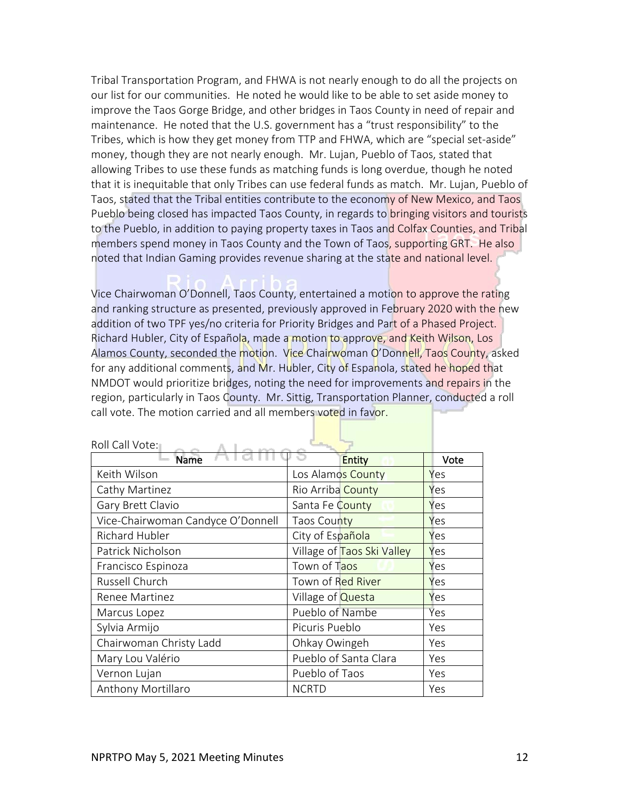Tribal Transportation Program, and FHWA is not nearly enough to do all the projects on our list for our communities. He noted he would like to be able to set aside money to improve the Taos Gorge Bridge, and other bridges in Taos County in need of repair and maintenance. He noted that the U.S. government has a "trust responsibility" to the Tribes, which is how they get money from TTP and FHWA, which are "special set-aside" money, though they are not nearly enough. Mr. Lujan, Pueblo of Taos, stated that allowing Tribes to use these funds as matching funds is long overdue, though he noted that it is inequitable that only Tribes can use federal funds as match. Mr. Lujan, Pueblo of Taos, stated that the Tribal entities contribute to the economy of New Mexico, and Taos Pueblo being closed has impacted Taos County, in regards to bringing visitors and tourists to the Pueblo, in addition to paying property taxes in Taos and Colfax Counties, and Tribal members spend money in Taos County and the Town of Taos, supporting GRT. He also noted that Indian Gaming provides revenue sharing at the state and national level.

Vice Chairwoman O'Donnell, Taos County, entertained a motion to approve the rating and ranking structure as presented, previously approved in February 2020 with the new addition of two TPF yes/no criteria for Priority Bridges and Part of a Phased Project. Richard Hubler, City of Española, made a motion to approve, and Keith Wilson, Los Alamos County, seconded the motion. Vice Chairwoman O'Donnell, Taos County, asked for any additional comments, and Mr. Hubler, City of Espanola, stated he hoped that NMDOT would prioritize bridges, noting the need for improvements and repairs in the region, particularly in Taos County. Mr. Sittig, Transportation Planner, conducted a roll call vote. The motion carried and all members voted in favor.

| <b>Name</b>                       | <b>Entity</b>              | Vote |
|-----------------------------------|----------------------------|------|
| Keith Wilson                      | Los Alamos County          | Yes  |
| Cathy Martinez                    | Rio Arriba County          | Yes  |
| Gary Brett Clavio                 | Santa Fe County            | Yes  |
| Vice-Chairwoman Candyce O'Donnell | Taos County                | Yes  |
| Richard Hubler                    | City of Española           | Yes  |
| Patrick Nicholson                 | Village of Taos Ski Valley | Yes  |
| Francisco Espinoza                | Town of Taos               | Yes  |
| Russell Church                    | Town of Red River          | Yes  |
| Renee Martinez                    | Village of <b>Questa</b>   | Yes  |
| Marcus Lopez                      | Pueblo of Nambe            | Yes  |
| Sylvia Armijo                     | Picuris Pueblo             | Yes  |
| Chairwoman Christy Ladd           | Ohkay Owingeh              | Yes  |
| Mary Lou Valério                  | Pueblo of Santa Clara      | Yes  |
| Vernon Lujan                      | Pueblo of Taos             | Yes  |
| Anthony Mortillaro                | <b>NCRTD</b>               | Yes  |

Roll Call Vote: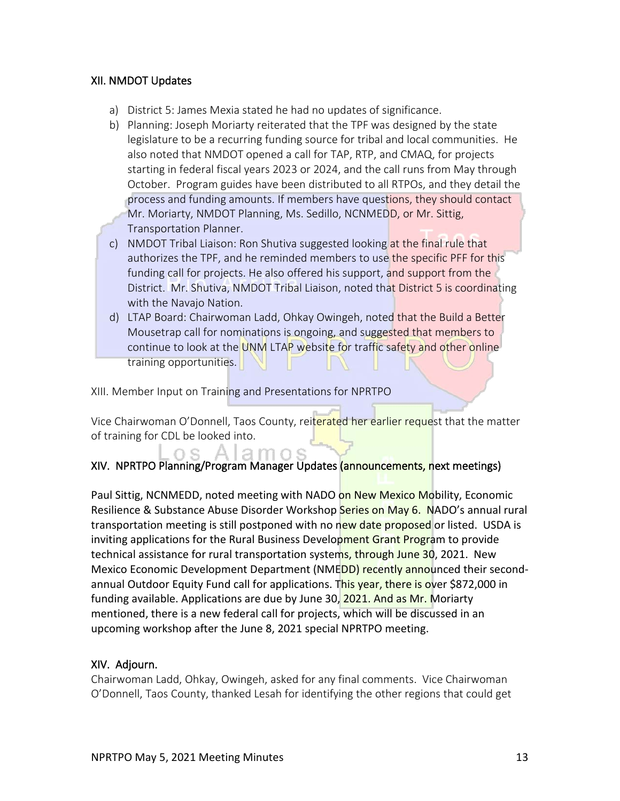### XII. NMDOT Updates

- a) District 5: James Mexia stated he had no updates of significance.
- b) Planning: Joseph Moriarty reiterated that the TPF was designed by the state legislature to be a recurring funding source for tribal and local communities. He also noted that NMDOT opened a call for TAP, RTP, and CMAQ, for projects starting in federal fiscal years 2023 or 2024, and the call runs from May through October. Program guides have been distributed to all RTPOs, and they detail the process and funding amounts. If members have questions, they should contact Mr. Moriarty, NMDOT Planning, Ms. Sedillo, NCNMEDD, or Mr. Sittig, Transportation Planner.
- c) NMDOT Tribal Liaison: Ron Shutiva suggested looking at the final rule that authorizes the TPF, and he reminded members to use the specific PFF for this funding call for projects. He also offered his support, and support from the District. Mr. Shutiva, NMDOT Tribal Liaison, noted that District 5 is coordinating with the Navajo Nation.
- d) LTAP Board: Chairwoman Ladd, Ohkay Owingeh, noted that the Build a Better Mousetrap call for nominations is ongoing, and suggested that members to continue to look at the UNM LTAP website for traffic safety and other online training opportunities.

XIII. Member Input on Training and Presentations for NPRTPO

Vice Chairwoman O'Donnell, Taos County, reiterated her earlier request that the matter of training for CDL be looked into.

# XIV. NPRTPO Planning/Program Manager Updates (announcements, next meetings)

Paul Sittig, NCNMEDD, noted meeting with NADO on New Mexico Mobility, Economic Resilience & Substance Abuse Disorder Workshop Series on May 6. NADO's annual rural transportation meeting is still postponed with no new date proposed or listed. USDA is inviting applications for the Rural Business Development Grant Program to provide technical assistance for rural transportation systems, through June 30, 2021. New Mexico Economic Development Department (NMEDD) recently announced their secondannual Outdoor Equity Fund call for applications. This year, there is over \$872,000 in funding available. Applications are due by June 30, 2021. And as Mr. Moriarty mentioned, there is a new federal call for projects, which will be discussed in an upcoming workshop after the June 8, 2021 special NPRTPO meeting.

### XIV. Adjourn.

Chairwoman Ladd, Ohkay, Owingeh, asked for any final comments. Vice Chairwoman O'Donnell, Taos County, thanked Lesah for identifying the other regions that could get